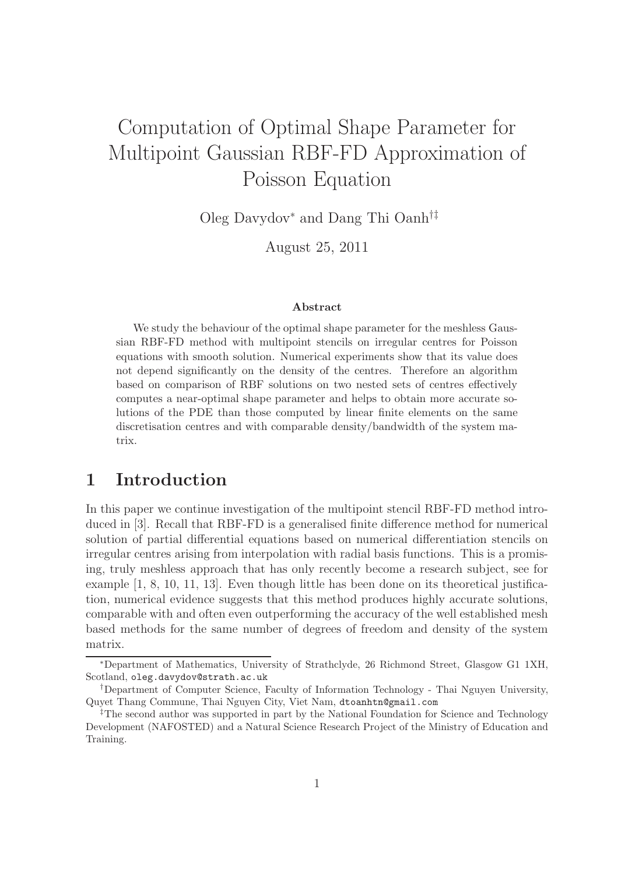# Computation of Optimal Shape Parameter for Multipoint Gaussian RBF-FD Approximation of Poisson Equation

Oleg Davydov<sup>∗</sup> and Dang Thi Oanh†‡

August 25, 2011

#### Abstract

We study the behaviour of the optimal shape parameter for the meshless Gaussian RBF-FD method with multipoint stencils on irregular centres for Poisson equations with smooth solution. Numerical experiments show that its value does not depend significantly on the density of the centres. Therefore an algorithm based on comparison of RBF solutions on two nested sets of centres effectively computes a near-optimal shape parameter and helps to obtain more accurate solutions of the PDE than those computed by linear finite elements on the same discretisation centres and with comparable density/bandwidth of the system matrix.

# 1 Introduction

In this paper we continue investigation of the multipoint stencil RBF-FD method introduced in [3]. Recall that RBF-FD is a generalised finite difference method for numerical solution of partial differential equations based on numerical differentiation stencils on irregular centres arising from interpolation with radial basis functions. This is a promising, truly meshless approach that has only recently become a research subject, see for example [1, 8, 10, 11, 13]. Even though little has been done on its theoretical justification, numerical evidence suggests that this method produces highly accurate solutions, comparable with and often even outperforming the accuracy of the well established mesh based methods for the same number of degrees of freedom and density of the system matrix.

<sup>∗</sup>Department of Mathematics, University of Strathclyde, 26 Richmond Street, Glasgow G1 1XH, Scotland, oleg.davydov@strath.ac.uk

<sup>†</sup>Department of Computer Science, Faculty of Information Technology - Thai Nguyen University, Quyet Thang Commune, Thai Nguyen City, Viet Nam, dtoanhtn@gmail.com

<sup>&</sup>lt;sup>‡</sup>The second author was supported in part by the National Foundation for Science and Technology Development (NAFOSTED) and a Natural Science Research Project of the Ministry of Education and Training.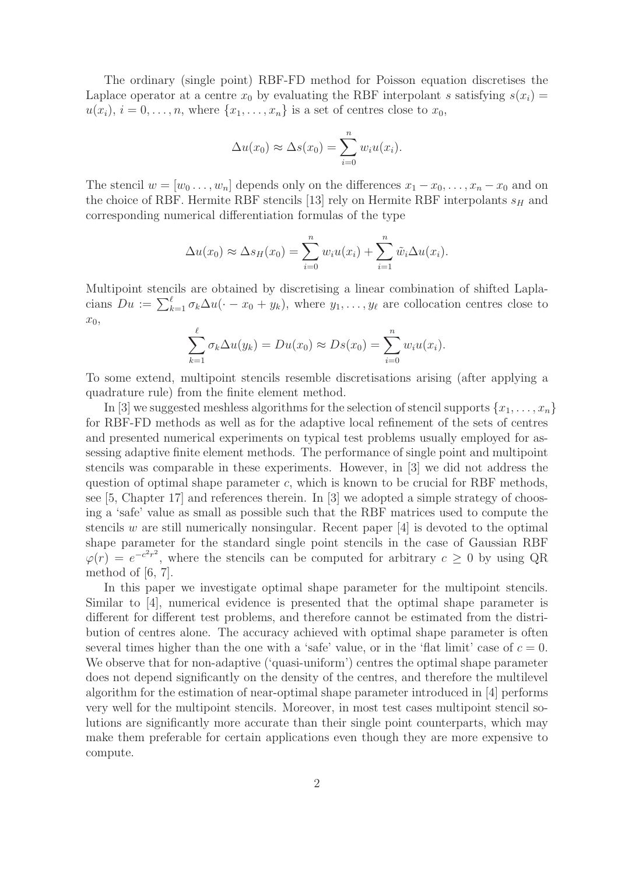The ordinary (single point) RBF-FD method for Poisson equation discretises the Laplace operator at a centre  $x_0$  by evaluating the RBF interpolant s satisfying  $s(x_i)$  =  $u(x_i)$ ,  $i = 0, \ldots, n$ , where  $\{x_1, \ldots, x_n\}$  is a set of centres close to  $x_0$ ,

$$
\Delta u(x_0) \approx \Delta s(x_0) = \sum_{i=0}^n w_i u(x_i).
$$

The stencil  $w = [w_0 \dots, w_n]$  depends only on the differences  $x_1 - x_0, \dots, x_n - x_0$  and on the choice of RBF. Hermite RBF stencils [13] rely on Hermite RBF interpolants  $s_H$  and corresponding numerical differentiation formulas of the type

$$
\Delta u(x_0) \approx \Delta s_H(x_0) = \sum_{i=0}^n w_i u(x_i) + \sum_{i=1}^n \tilde{w}_i \Delta u(x_i).
$$

Multipoint stencils are obtained by discretising a linear combination of shifted Laplacians  $Du := \sum_{k=1}^{\ell} \sigma_k \Delta u(\cdot - x_0 + y_k)$ , where  $y_1, \ldots, y_{\ell}$  are collocation centres close to  $x_0$ ,

$$
\sum_{k=1}^{\ell} \sigma_k \Delta u(y_k) = Du(x_0) \approx Ds(x_0) = \sum_{i=0}^{n} w_i u(x_i).
$$

To some extend, multipoint stencils resemble discretisations arising (after applying a quadrature rule) from the finite element method.

In [3] we suggested meshless algorithms for the selection of stencil supports  $\{x_1, \ldots, x_n\}$ for RBF-FD methods as well as for the adaptive local refinement of the sets of centres and presented numerical experiments on typical test problems usually employed for assessing adaptive finite element methods. The performance of single point and multipoint stencils was comparable in these experiments. However, in [3] we did not address the question of optimal shape parameter  $c$ , which is known to be crucial for RBF methods, see [5, Chapter 17] and references therein. In [3] we adopted a simple strategy of choosing a 'safe' value as small as possible such that the RBF matrices used to compute the stencils w are still numerically nonsingular. Recent paper  $[4]$  is devoted to the optimal shape parameter for the standard single point stencils in the case of Gaussian RBF  $\varphi(r) = e^{-c^2r^2}$ , where the stencils can be computed for arbitrary  $c \geq 0$  by using QR method of [6, 7].

In this paper we investigate optimal shape parameter for the multipoint stencils. Similar to [4], numerical evidence is presented that the optimal shape parameter is different for different test problems, and therefore cannot be estimated from the distribution of centres alone. The accuracy achieved with optimal shape parameter is often several times higher than the one with a 'safe' value, or in the 'flat limit' case of  $c = 0$ . We observe that for non-adaptive ('quasi-uniform') centres the optimal shape parameter does not depend significantly on the density of the centres, and therefore the multilevel algorithm for the estimation of near-optimal shape parameter introduced in [4] performs very well for the multipoint stencils. Moreover, in most test cases multipoint stencil solutions are significantly more accurate than their single point counterparts, which may make them preferable for certain applications even though they are more expensive to compute.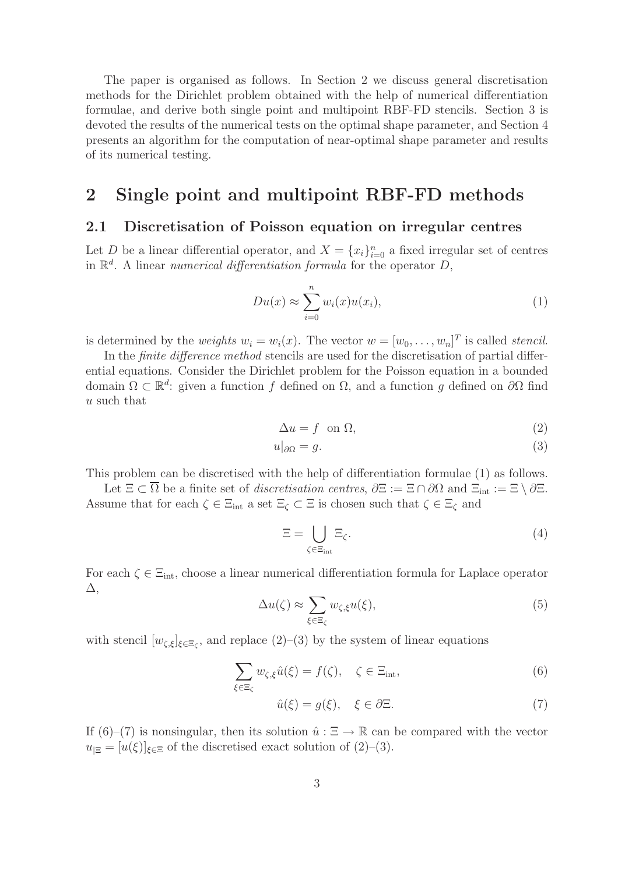The paper is organised as follows. In Section 2 we discuss general discretisation methods for the Dirichlet problem obtained with the help of numerical differentiation formulae, and derive both single point and multipoint RBF-FD stencils. Section 3 is devoted the results of the numerical tests on the optimal shape parameter, and Section 4 presents an algorithm for the computation of near-optimal shape parameter and results of its numerical testing.

# 2 Single point and multipoint RBF-FD methods

### 2.1 Discretisation of Poisson equation on irregular centres

Let D be a linear differential operator, and  $X = \{x_i\}_{i=0}^n$  a fixed irregular set of centres in R d . A linear *numerical differentiation formula* for the operator D,

$$
Du(x) \approx \sum_{i=0}^{n} w_i(x)u(x_i), \qquad (1)
$$

is determined by the *weights*  $w_i = w_i(x)$ . The vector  $w = [w_0, \dots, w_n]^T$  is called *stencil*.

In the *finite difference method* stencils are used for the discretisation of partial differential equations. Consider the Dirichlet problem for the Poisson equation in a bounded domain  $\Omega \subset \mathbb{R}^d$ : given a function f defined on  $\Omega$ , and a function g defined on  $\partial\Omega$  find u such that

$$
\Delta u = f \quad \text{on } \Omega,\tag{2}
$$

$$
u|_{\partial\Omega} = g. \tag{3}
$$

This problem can be discretised with the help of differentiation formulae (1) as follows.

Let  $\Xi \subset \overline{\Omega}$  be a finite set of *discretisation centres*,  $\partial \Xi := \Xi \cap \partial \Omega$  and  $\Xi_{int} := \Xi \setminus \partial \Xi$ . Assume that for each  $\zeta \in \Xi_{\rm int}$  a set  $\Xi_\zeta \subset \Xi$  is chosen such that  $\zeta \in \Xi_\zeta$  and

$$
\Xi = \bigcup_{\zeta \in \Xi_{\text{int}}} \Xi_{\zeta}.\tag{4}
$$

For each  $\zeta \in \Xi_{\text{int}}$ , choose a linear numerical differentiation formula for Laplace operator ∆,

$$
\Delta u(\zeta) \approx \sum_{\xi \in \Xi_{\zeta}} w_{\zeta,\xi} u(\xi),\tag{5}
$$

with stencil  $[w_{\zeta,\xi}]_{\xi \in \Xi_{\zeta}}$ , and replace  $(2)-(3)$  by the system of linear equations

$$
\sum_{\xi \in \Xi_{\zeta}} w_{\zeta,\xi} \hat{u}(\xi) = f(\zeta), \quad \zeta \in \Xi_{\text{int}}, \tag{6}
$$

$$
\hat{u}(\xi) = g(\xi), \quad \xi \in \partial \Xi.
$$
\n(7)

If (6)–(7) is nonsingular, then its solution  $\hat{u} : \Xi \to \mathbb{R}$  can be compared with the vector  $u_{\text{E}} = [u(\xi)]_{\xi \in \Xi}$  of the discretised exact solution of  $(2)$ – $(3)$ .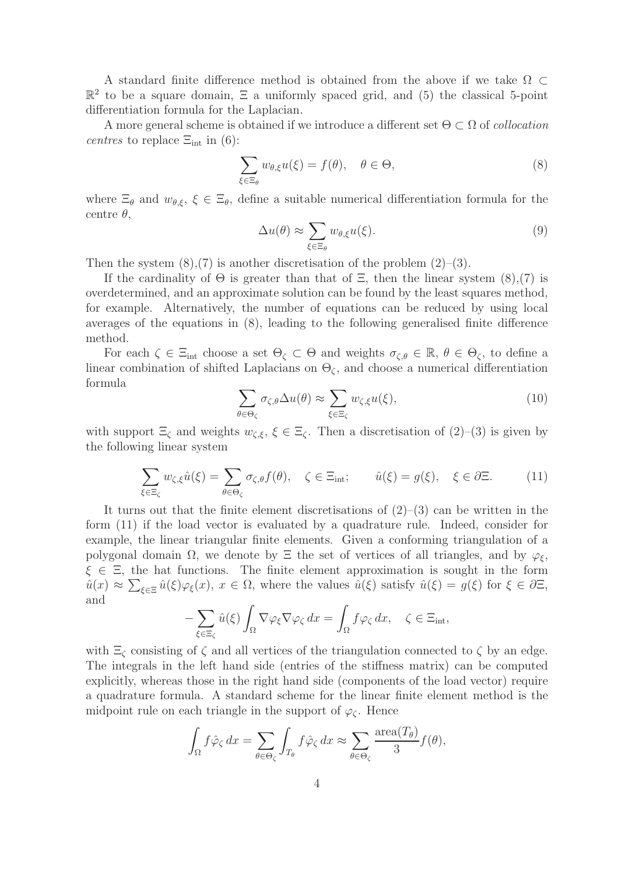A standard finite difference method is obtained from the above if we take  $\Omega \subset$  $\mathbb{R}^2$  to be a square domain,  $\Xi$  a uniformly spaced grid, and (5) the classical 5-point differentiation formula for the Laplacian.

A more general scheme is obtained if we introduce a different set Θ ⊂ Ω of *collocation centres* to replace  $\Xi_{int}$  in (6):

$$
\sum_{\xi \in \Xi_{\theta}} w_{\theta,\xi} u(\xi) = f(\theta), \quad \theta \in \Theta,
$$
\n(8)

where  $\Xi_{\theta}$  and  $w_{\theta,\xi}$ ,  $\xi \in \Xi_{\theta}$ , define a suitable numerical differentiation formula for the centre  $\theta$ ,

$$
\Delta u(\theta) \approx \sum_{\xi \in \Xi_{\theta}} w_{\theta,\xi} u(\xi). \tag{9}
$$

Then the system  $(8)$ ,  $(7)$  is another discretisation of the problem  $(2)$ – $(3)$ .

If the cardinality of  $\Theta$  is greater than that of  $\Xi$ , then the linear system (8),(7) is overdetermined, and an approximate solution can be found by the least squares method, for example. Alternatively, the number of equations can be reduced by using local averages of the equations in (8), leading to the following generalised finite difference method.

For each  $\zeta \in \Xi_{int}$  choose a set  $\Theta_{\zeta} \subset \Theta$  and weights  $\sigma_{\zeta,\theta} \in \mathbb{R}$ ,  $\theta \in \Theta_{\zeta}$ , to define a linear combination of shifted Laplacians on  $\Theta_{\zeta}$ , and choose a numerical differentiation formula

$$
\sum_{\theta \in \Theta_{\zeta}} \sigma_{\zeta,\theta} \Delta u(\theta) \approx \sum_{\xi \in \Xi_{\zeta}} w_{\zeta,\xi} u(\xi),\tag{10}
$$

with support  $\Xi_{\zeta}$  and weights  $w_{\zeta,\xi}, \xi \in \Xi_{\zeta}$ . Then a discretisation of  $(2)-(3)$  is given by the following linear system

$$
\sum_{\xi \in \Xi_{\zeta}} w_{\zeta,\xi} \hat{u}(\xi) = \sum_{\theta \in \Theta_{\zeta}} \sigma_{\zeta,\theta} f(\theta), \quad \zeta \in \Xi_{\text{int}}; \qquad \hat{u}(\xi) = g(\xi), \quad \xi \in \partial \Xi. \tag{11}
$$

It turns out that the finite element discretisations of  $(2)$ – $(3)$  can be written in the form (11) if the load vector is evaluated by a quadrature rule. Indeed, consider for example, the linear triangular finite elements. Given a conforming triangulation of a polygonal domain Ω, we denote by  $\Xi$  the set of vertices of all triangles, and by  $\varphi_{\xi}$ ,  $\xi \in \Xi$ , the hat functions. The finite element approximation is sought in the form  $\hat{u}(x) \approx \sum_{\xi \in \Xi} \hat{u}(\xi) \varphi_{\xi}(x), x \in \Omega$ , where the values  $\hat{u}(\xi)$  satisfy  $\hat{u}(\xi) = g(\xi)$  for  $\xi \in \partial \Xi$ , and

$$
-\sum_{\xi \in \Xi_{\zeta}} \hat{u}(\xi) \int_{\Omega} \nabla \varphi_{\xi} \nabla \varphi_{\zeta} dx = \int_{\Omega} f \varphi_{\zeta} dx, \quad \zeta \in \Xi_{\text{int}},
$$

with  $\Xi_{\zeta}$  consisting of  $\zeta$  and all vertices of the triangulation connected to  $\zeta$  by an edge. The integrals in the left hand side (entries of the stiffness matrix) can be computed explicitly, whereas those in the right hand side (components of the load vector) require a quadrature formula. A standard scheme for the linear finite element method is the midpoint rule on each triangle in the support of  $\varphi_{\zeta}$ . Hence

$$
\int_{\Omega} f \hat{\varphi}_{\zeta} dx = \sum_{\theta \in \Theta_{\zeta}} \int_{T_{\theta}} f \hat{\varphi}_{\zeta} dx \approx \sum_{\theta \in \Theta_{\zeta}} \frac{\text{area}(T_{\theta})}{3} f(\theta),
$$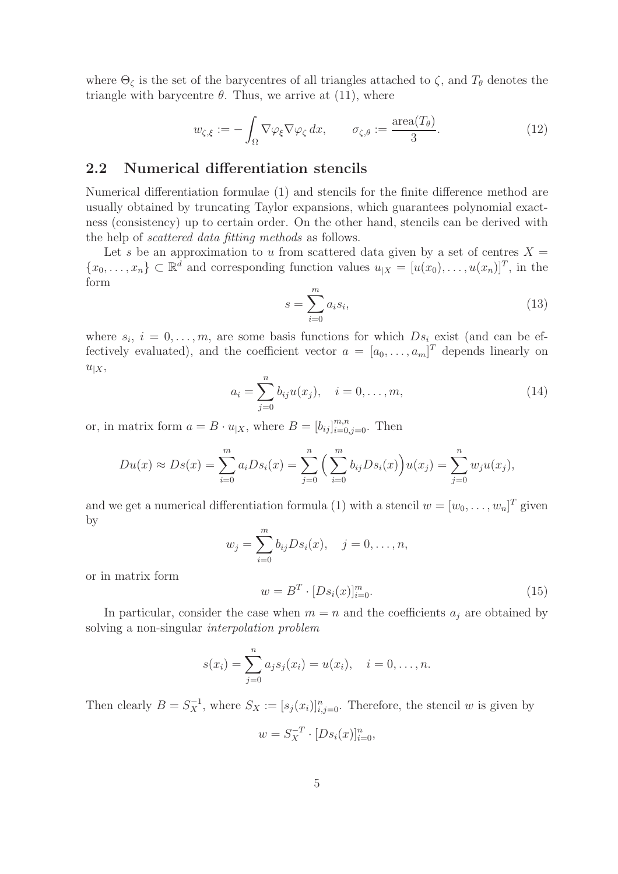where  $\Theta_{\zeta}$  is the set of the barycentres of all triangles attached to  $\zeta$ , and  $T_{\theta}$  denotes the triangle with barycentre  $\theta$ . Thus, we arrive at (11), where

$$
w_{\zeta,\xi} := -\int_{\Omega} \nabla \varphi_{\xi} \nabla \varphi_{\zeta} dx, \qquad \sigma_{\zeta,\theta} := \frac{\text{area}(T_{\theta})}{3}.
$$
 (12)

### 2.2 Numerical differentiation stencils

Numerical differentiation formulae (1) and stencils for the finite difference method are usually obtained by truncating Taylor expansions, which guarantees polynomial exactness (consistency) up to certain order. On the other hand, stencils can be derived with the help of *scattered data fitting methods* as follows.

Let s be an approximation to u from scattered data given by a set of centres  $X =$  $\{x_0, \ldots, x_n\} \subset \mathbb{R}^d$  and corresponding function values  $u_{|X} = [u(x_0), \ldots, u(x_n)]^T$ , in the form

$$
s = \sum_{i=0}^{m} a_i s_i,
$$
\n
$$
(13)
$$

where  $s_i$ ,  $i = 0, \ldots, m$ , are some basis functions for which  $Ds_i$  exist (and can be effectively evaluated), and the coefficient vector  $a = [a_0, \ldots, a_m]^T$  depends linearly on  $u_{|X}$ 

$$
a_i = \sum_{j=0}^{n} b_{ij} u(x_j), \quad i = 0, \dots, m,
$$
\n(14)

or, in matrix form  $a = B \cdot u_{|X}$ , where  $B = [b_{ij}]_{i=0,j=0}^{m,n}$ . Then

$$
Du(x) \approx Ds(x) = \sum_{i=0}^{m} a_i Ds_i(x) = \sum_{j=0}^{n} \left( \sum_{i=0}^{m} b_{ij} Ds_i(x) \right) u(x_j) = \sum_{j=0}^{n} w_j u(x_j),
$$

and we get a numerical differentiation formula (1) with a stencil  $w = [w_0, \ldots, w_n]^T$  given by

$$
w_j = \sum_{i=0}^m b_{ij} D s_i(x), \quad j = 0, ..., n,
$$

or in matrix form

$$
w = B^T \cdot [Ds_i(x)]_{i=0}^m.
$$
 (15)

In particular, consider the case when  $m = n$  and the coefficients  $a_j$  are obtained by solving a non-singular *interpolation problem*

$$
s(x_i) = \sum_{j=0}^{n} a_j s_j(x_i) = u(x_i), \quad i = 0, \dots, n.
$$

Then clearly  $B = S_X^{-1}$ , where  $S_X := [s_j(x_i)]_{i,j=0}^n$ . Therefore, the stencil w is given by

$$
w = S_X^{-T} \cdot [Ds_i(x)]_{i=0}^n,
$$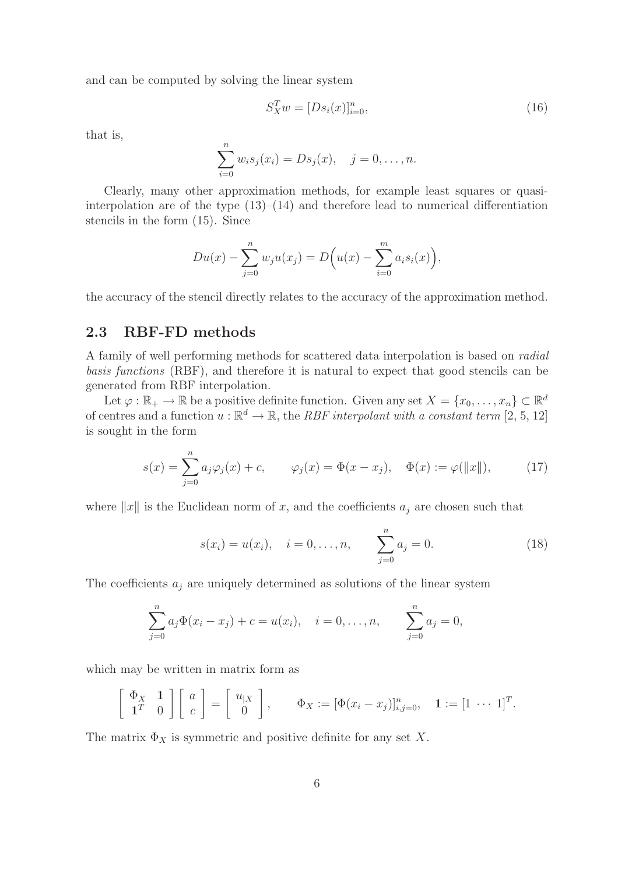and can be computed by solving the linear system

$$
S_X^T w = [Ds_i(x)]_{i=0}^n, \tag{16}
$$

that is,

$$
\sum_{i=0}^{n} w_i s_j(x_i) = D s_j(x), \quad j = 0, \dots, n.
$$

Clearly, many other approximation methods, for example least squares or quasiinterpolation are of the type  $(13)$ – $(14)$  and therefore lead to numerical differentiation stencils in the form (15). Since

$$
Du(x) - \sum_{j=0}^{n} w_j u(x_j) = D(u(x) - \sum_{i=0}^{m} a_i s_i(x)),
$$

the accuracy of the stencil directly relates to the accuracy of the approximation method.

### 2.3 RBF-FD methods

A family of well performing methods for scattered data interpolation is based on *radial basis functions* (RBF), and therefore it is natural to expect that good stencils can be generated from RBF interpolation.

Let  $\varphi : \mathbb{R}_+ \to \mathbb{R}$  be a positive definite function. Given any set  $X = \{x_0, \ldots, x_n\} \subset \mathbb{R}^d$ of centres and a function  $u : \mathbb{R}^d \to \mathbb{R}$ , the *RBF interpolant with a constant term* [2, 5, 12] is sought in the form

$$
s(x) = \sum_{j=0}^{n} a_j \varphi_j(x) + c, \qquad \varphi_j(x) = \Phi(x - x_j), \quad \Phi(x) := \varphi(||x||), \tag{17}
$$

where  $||x||$  is the Euclidean norm of x, and the coefficients  $a_i$  are chosen such that

$$
s(x_i) = u(x_i), \quad i = 0, ..., n, \qquad \sum_{j=0}^{n} a_j = 0.
$$
 (18)

The coefficients  $a_i$  are uniquely determined as solutions of the linear system

$$
\sum_{j=0}^{n} a_j \Phi(x_i - x_j) + c = u(x_i), \quad i = 0, \dots, n, \qquad \sum_{j=0}^{n} a_j = 0,
$$

which may be written in matrix form as

$$
\left[\begin{array}{cc} \Phi_X & \mathbf{1} \\ \mathbf{1}^T & 0 \end{array}\right] \left[\begin{array}{c} a \\ c \end{array}\right] = \left[\begin{array}{c} u_{|X} \\ 0 \end{array}\right], \qquad \Phi_X := \left[\Phi(x_i - x_j)\right]_{i,j=0}^n, \quad \mathbf{1} := \left[1 \cdots 1\right]^T.
$$

The matrix  $\Phi_X$  is symmetric and positive definite for any set X.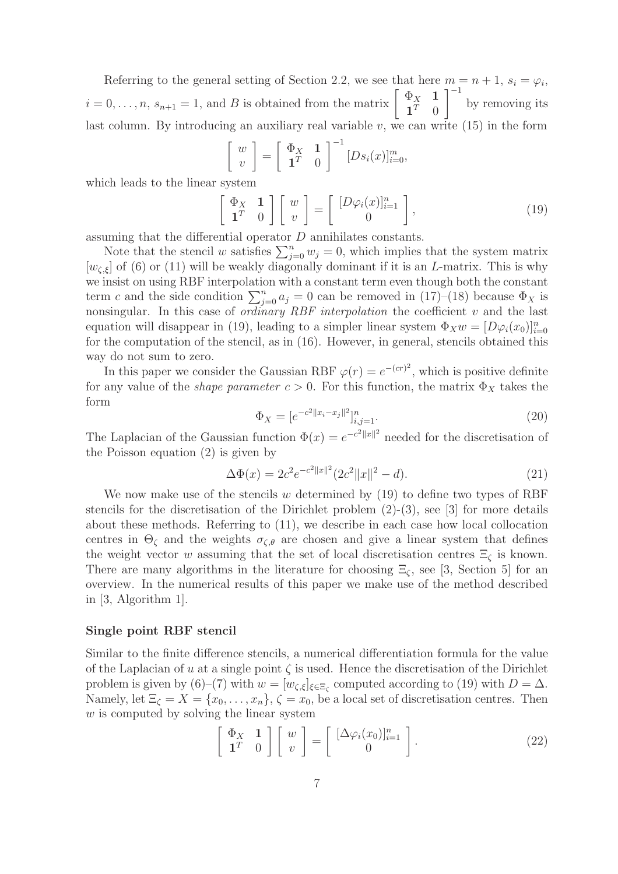Referring to the general setting of Section 2.2, we see that here  $m = n + 1$ ,  $s_i = \varphi_i$ ,  $i = 0, \ldots, n, s_{n+1} = 1$ , and B is obtained from the matrix  $\begin{bmatrix} \Phi_X & \mathbf{1} \\ \mathbf{1}^T & 0 \end{bmatrix}$  $\mathbf{1}^T$  0  $1^{-1}$ by removing its last column. By introducing an auxiliary real variable  $v$ , we can write  $(15)$  in the form

$$
\begin{bmatrix} w \\ v \end{bmatrix} = \begin{bmatrix} \Phi_X & 1 \\ 1^T & 0 \end{bmatrix}^{-1} [Ds_i(x)]_{i=0}^m,
$$

which leads to the linear system

$$
\left[\begin{array}{cc} \Phi_X & \mathbf{1} \\ \mathbf{1}^T & 0 \end{array}\right] \left[\begin{array}{c} w \\ v \end{array}\right] = \left[\begin{array}{c} [D\varphi_i(x)]_{i=1}^n \\ 0 \end{array}\right],\tag{19}
$$

assuming that the differential operator D annihilates constants.

Note that the stencil w satisfies  $\sum_{j=0}^{n} w_j = 0$ , which implies that the system matrix  $[w_{\zeta,\xi}]$  of (6) or (11) will be weakly diagonally dominant if it is an L-matrix. This is why we insist on using RBF interpolation with a constant term even though both the constant term c and the side condition  $\sum_{j=0}^{n} a_j = 0$  can be removed in (17)–(18) because  $\Phi_X$  is nonsingular. In this case of *ordinary RBF interpolation* the coefficient v and the last equation will disappear in (19), leading to a simpler linear system  $\Phi_X w = [D\varphi_i(x_0)]_{i=0}^n$ for the computation of the stencil, as in (16). However, in general, stencils obtained this way do not sum to zero.

In this paper we consider the Gaussian RBF  $\varphi(r) = e^{-(cr)^2}$ , which is positive definite for any value of the *shape parameter*  $c > 0$ . For this function, the matrix  $\Phi_X$  takes the form

$$
\Phi_X = [e^{-c^2 ||x_i - x_j||^2}]_{i,j=1}^n.
$$
\n(20)

The Laplacian of the Gaussian function  $\Phi(x) = e^{-c^2 ||x||^2}$  needed for the discretisation of the Poisson equation (2) is given by

$$
\Delta\Phi(x) = 2c^2 e^{-c^2 ||x||^2} (2c^2 ||x||^2 - d). \tag{21}
$$

We now make use of the stencils w determined by  $(19)$  to define two types of RBF stencils for the discretisation of the Dirichlet problem  $(2)-(3)$ , see [3] for more details about these methods. Referring to (11), we describe in each case how local collocation centres in  $\Theta_{\zeta}$  and the weights  $\sigma_{\zeta,\theta}$  are chosen and give a linear system that defines the weight vector w assuming that the set of local discretisation centres  $\Xi_{\zeta}$  is known. There are many algorithms in the literature for choosing  $\Xi_{\zeta}$ , see [3, Section 5] for an overview. In the numerical results of this paper we make use of the method described in [3, Algorithm 1].

#### Single point RBF stencil

Similar to the finite difference stencils, a numerical differentiation formula for the value of the Laplacian of u at a single point  $\zeta$  is used. Hence the discretisation of the Dirichlet problem is given by (6)–(7) with  $w = [w_{\zeta,\xi}]_{\xi \in \Xi_{\zeta}}$  computed according to (19) with  $D = \Delta$ . Namely, let  $\Xi_{\zeta} = X = \{x_0, \ldots, x_n\}, \zeta = x_0$ , be a local set of discretisation centres. Then  $w$  is computed by solving the linear system

$$
\left[\begin{array}{cc} \Phi_X & \mathbf{1} \\ \mathbf{1}^T & 0 \end{array}\right] \left[\begin{array}{c} w \\ v \end{array}\right] = \left[\begin{array}{c} [\Delta \varphi_i(x_0)]_{i=1}^n \\ 0 \end{array}\right]. \tag{22}
$$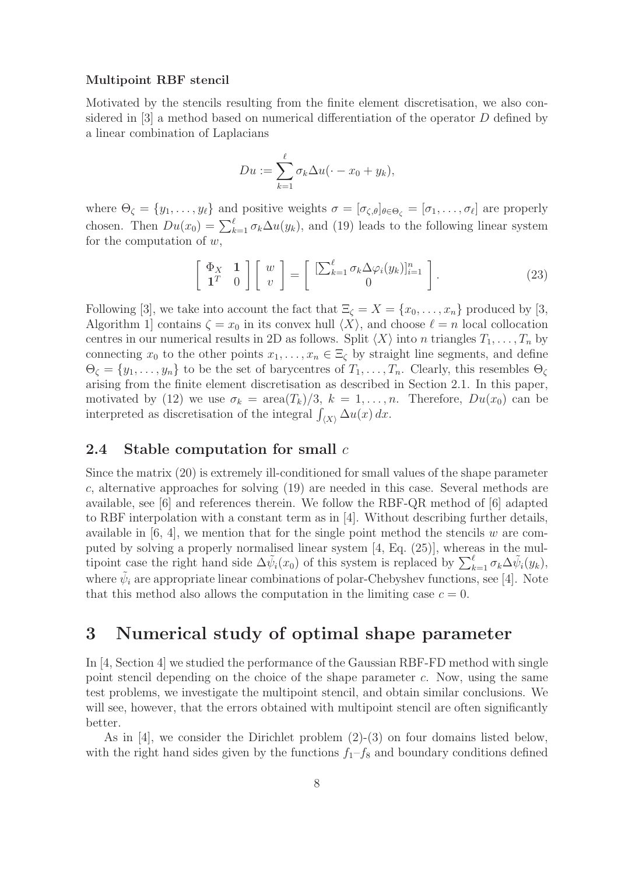#### Multipoint RBF stencil

Motivated by the stencils resulting from the finite element discretisation, we also considered in [3] a method based on numerical differentiation of the operator D defined by a linear combination of Laplacians

$$
Du := \sum_{k=1}^{\ell} \sigma_k \Delta u(\cdot - x_0 + y_k),
$$

where  $\Theta_{\zeta} = \{y_1, \ldots, y_{\ell}\}\$  and positive weights  $\sigma = [\sigma_{\zeta,\theta}]_{\theta \in \Theta_{\zeta}} = [\sigma_1, \ldots, \sigma_{\ell}]$  are properly chosen. Then  $Du(x_0) = \sum_{k=1}^{\ell} \sigma_k \Delta u(y_k)$ , and (19) leads to the following linear system for the computation of  $w$ ,

$$
\left[\begin{array}{cc} \Phi_X & \mathbf{1} \\ \mathbf{1}^T & 0 \end{array}\right] \left[\begin{array}{c} w \\ v \end{array}\right] = \left[\begin{array}{c} [\sum_{k=1}^{\ell} \sigma_k \Delta \varphi_i(y_k)]_{i=1}^n \\ 0 \end{array}\right]. \tag{23}
$$

Following [3], we take into account the fact that  $\Xi_{\zeta} = X = \{x_0, \ldots, x_n\}$  produced by [3, Algorithm 1] contains  $\zeta = x_0$  in its convex hull  $\langle X \rangle$ , and choose  $\ell = n$  local collocation centres in our numerical results in 2D as follows. Split  $\langle X \rangle$  into n triangles  $T_1, \ldots, T_n$  by connecting  $x_0$  to the other points  $x_1, \ldots, x_n \in \Xi_\zeta$  by straight line segments, and define  $\Theta_{\zeta} = \{y_1, \ldots, y_n\}$  to be the set of barycentres of  $T_1, \ldots, T_n$ . Clearly, this resembles  $\Theta_{\zeta}$ arising from the finite element discretisation as described in Section 2.1. In this paper, motivated by (12) we use  $\sigma_k = \text{area}(T_k)/3$ ,  $k = 1, ..., n$ . Therefore,  $Du(x_0)$  can be interpreted as discretisation of the integral  $\int_{\langle X \rangle} \Delta u(x) dx$ .

### 2.4 Stable computation for small  $c$

Since the matrix (20) is extremely ill-conditioned for small values of the shape parameter c, alternative approaches for solving  $(19)$  are needed in this case. Several methods are available, see [6] and references therein. We follow the RBF-QR method of [6] adapted to RBF interpolation with a constant term as in [4]. Without describing further details, available in  $[6, 4]$ , we mention that for the single point method the stencils w are computed by solving a properly normalised linear system [4, Eq. (25)], whereas in the multipoint case the right hand side  $\Delta \tilde{\psi}_i(x_0)$  of this system is replaced by  $\sum_{k=1}^{\ell} \sigma_k \Delta \tilde{\psi}_i(y_k)$ , where  $\tilde{\psi}_i$  are appropriate linear combinations of polar-Chebyshev functions, see [4]. Note that this method also allows the computation in the limiting case  $c = 0$ .

# 3 Numerical study of optimal shape parameter

In [4, Section 4] we studied the performance of the Gaussian RBF-FD method with single point stencil depending on the choice of the shape parameter c. Now, using the same test problems, we investigate the multipoint stencil, and obtain similar conclusions. We will see, however, that the errors obtained with multipoint stencil are often significantly better.

As in [4], we consider the Dirichlet problem (2)-(3) on four domains listed below, with the right hand sides given by the functions  $f_1-f_8$  and boundary conditions defined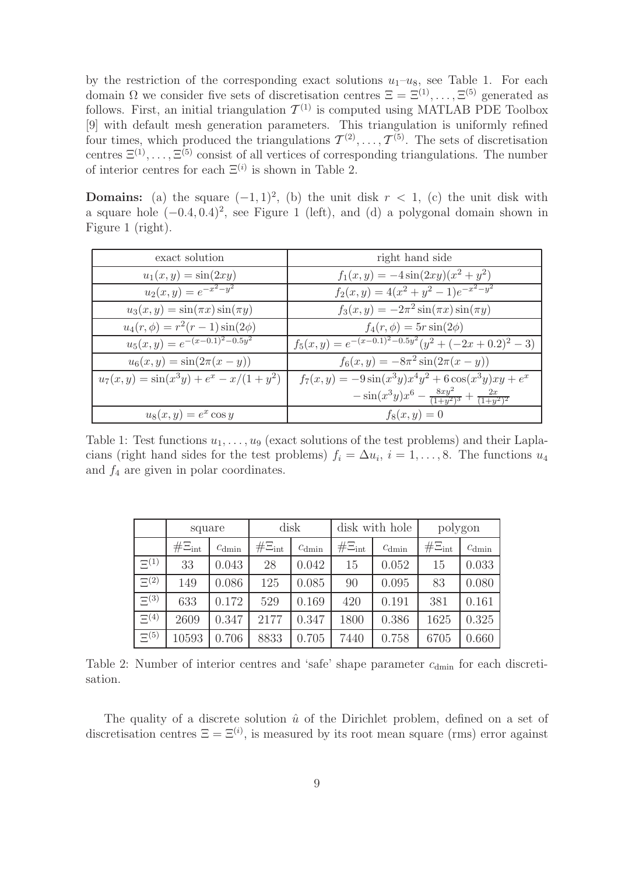by the restriction of the corresponding exact solutions  $u_1-u_8$ , see Table 1. For each domain  $\Omega$  we consider five sets of discretisation centres  $\Xi = \Xi^{(1)}, \ldots, \Xi^{(5)}$  generated as follows. First, an initial triangulation  $\mathcal{T}^{(1)}$  is computed using MATLAB PDE Toolbox [9] with default mesh generation parameters. This triangulation is uniformly refined four times, which produced the triangulations  $\mathcal{T}^{(2)}, \ldots, \mathcal{T}^{(5)}$ . The sets of discretisation centres  $\Xi^{(1)}, \ldots, \Xi^{(5)}$  consist of all vertices of corresponding triangulations. The number of interior centres for each  $\Xi^{(i)}$  is shown in Table 2.

**Domains:** (a) the square  $(-1, 1)^2$ , (b) the unit disk  $r < 1$ , (c) the unit disk with a square hole  $(-0.4, 0.4)^2$ , see Figure 1 (left), and (d) a polygonal domain shown in Figure 1 (right).

| exact solution                            | right hand side                                                   |
|-------------------------------------------|-------------------------------------------------------------------|
| $u_1(x,y) = \sin(2xy)$                    | $f_1(x,y) = -4\sin(2xy)(x^2+y^2)$                                 |
| $u_2(x,y) = e^{-x^2-y^2}$                 | $f_2(x,y) = 4(x^2 + y^2 - 1)e^{-x^2 - y^2}$                       |
| $u_3(x, y) = \sin(\pi x) \sin(\pi y)$     | $f_3(x,y) = -2\pi^2 \sin(\pi x) \sin(\pi y)$                      |
| $u_4(r,\phi) = r^2(r-1)\sin(2\phi)$       | $f_4(r,\phi) = 5r\sin(2\phi)$                                     |
| $u_5(x,y) = e^{-(x-0.1)^2 - 0.5y^2}$      | $f_5(x,y) = e^{-(x-0.1)^2 - 0.5y^2}(y^2 + (-2x+0.2)^2 - 3)$       |
| $u_6(x, y) = \sin(2\pi(x - y))$           | $f_6(x,y) = -8\pi^2 \sin(2\pi(x-y))$                              |
| $u_7(x,y) = \sin(x^3y) + e^x - x/(1+y^2)$ | $f_7(x,y) = -9\sin(x^3y)x^4y^2 + 6\cos(x^3y)xy + e^x$             |
|                                           | $-\sin(x^3y)x^6 - \frac{8xy^2}{(1+y^2)^3} + \frac{2x}{(1+y^2)^2}$ |
| $u_8(x, y) = e^x \cos y$                  | $f_8(x, y) = 0$                                                   |

Table 1: Test functions  $u_1, \ldots, u_9$  (exact solutions of the test problems) and their Laplacians (right hand sides for the test problems)  $f_i = \Delta u_i$ ,  $i = 1, \ldots, 8$ . The functions  $u_4$ and  $f_4$  are given in polar coordinates.

|             | square        |                   | disk          |                   | disk with hole |                   | polygon       |                   |
|-------------|---------------|-------------------|---------------|-------------------|----------------|-------------------|---------------|-------------------|
|             | $# \Xi_{int}$ | $c_{\text{dmin}}$ | $# \Xi_{int}$ | $c_{\text{dmin}}$ | $# \Xi_{int}$  | $c_{\text{dmin}}$ | $# \Xi_{int}$ | $c_{\text{dmin}}$ |
| $\Xi^{(1)}$ | 33            | 0.043             | 28            | 0.042             | 15             | 0.052             | 15            | 0.033             |
| $\Xi^{(2)}$ | 149           | 0.086             | 125           | 0.085             | 90             | 0.095             | 83            | 0.080             |
| $\Xi^{(3)}$ | 633           | 0.172             | 529           | 0.169             | 420            | 0.191             | 381           | 0.161             |
| $\Xi^{(4)}$ | 2609          | 0.347             | 2177          | 0.347             | 1800           | 0.386             | 1625          | 0.325             |
| $\Xi^{(5)}$ | 10593         | 0.706             | 8833          | 0.705             | 7440           | 0.758             | 6705          | 0.660             |

Table 2: Number of interior centres and 'safe' shape parameter  $c<sub>dimin</sub>$  for each discretisation.

The quality of a discrete solution  $\hat{u}$  of the Dirichlet problem, defined on a set of discretisation centres  $\Xi = \Xi^{(i)}$ , is measured by its root mean square (rms) error against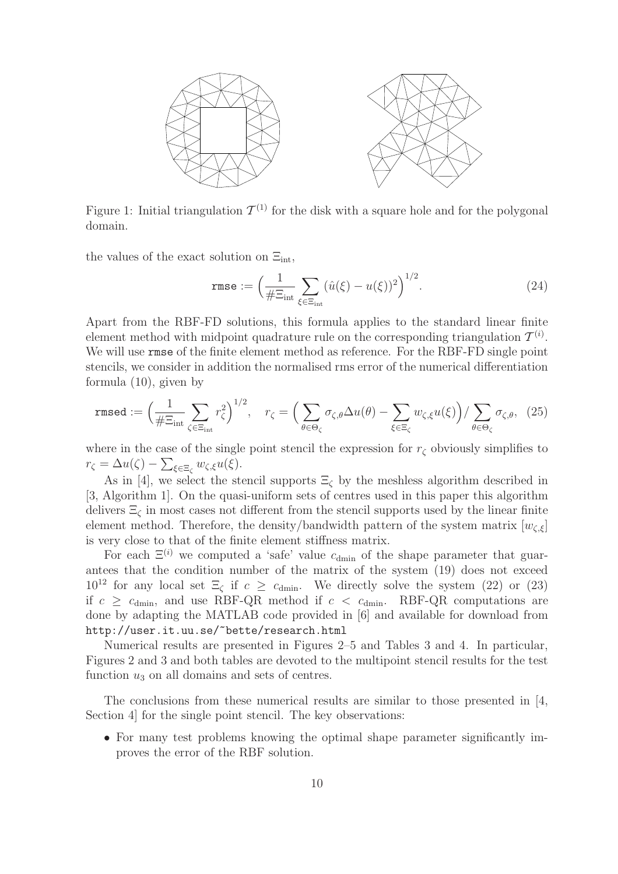

Figure 1: Initial triangulation  $\mathcal{T}^{(1)}$  for the disk with a square hole and for the polygonal domain.

the values of the exact solution on  $\Xi_{\text{int}}$ ,

$$
\text{rmse} := \left(\frac{1}{\#\Xi_{\text{int}}} \sum_{\xi \in \Xi_{\text{int}}} (\hat{u}(\xi) - u(\xi))^2\right)^{1/2}.
$$
 (24)

Apart from the RBF-FD solutions, this formula applies to the standard linear finite element method with midpoint quadrature rule on the corresponding triangulation  $\mathcal{T}^{(i)}$ . We will use rmse of the finite element method as reference. For the RBF-FD single point stencils, we consider in addition the normalised rms error of the numerical differentiation formula (10), given by

$$
\text{rmsed} := \Big(\frac{1}{\#\Xi_{\text{int}}} \sum_{\zeta \in \Xi_{\text{int}}} r_{\zeta}^2\Big)^{1/2}, \quad r_{\zeta} = \Big(\sum_{\theta \in \Theta_{\zeta}} \sigma_{\zeta,\theta} \Delta u(\theta) - \sum_{\xi \in \Xi_{\zeta}} w_{\zeta,\xi} u(\xi)\Big) / \sum_{\theta \in \Theta_{\zeta}} \sigma_{\zeta,\theta}, \tag{25}
$$

where in the case of the single point stencil the expression for  $r<sub>\zeta</sub>$  obviously simplifies to  $r_{\zeta} = \Delta u(\zeta) - \sum_{\xi \in \Xi_{\zeta}} w_{\zeta,\xi} u(\xi).$ 

As in [4], we select the stencil supports  $\Xi_{\zeta}$  by the meshless algorithm described in [3, Algorithm 1]. On the quasi-uniform sets of centres used in this paper this algorithm delivers  $\Xi_{\zeta}$  in most cases not different from the stencil supports used by the linear finite element method. Therefore, the density/bandwidth pattern of the system matrix  $[w_{\zeta,\xi}]$ is very close to that of the finite element stiffness matrix.

For each  $\Xi^{(i)}$  we computed a 'safe' value  $c_{\text{dmin}}$  of the shape parameter that guarantees that the condition number of the matrix of the system (19) does not exceed 10<sup>12</sup> for any local set  $\Xi_{\zeta}$  if  $c \geq c_{\text{dmin}}$ . We directly solve the system (22) or (23) if  $c \geq c_{\text{dmin}}$ , and use RBF-QR method if  $c < c_{\text{dmin}}$ . RBF-QR computations are done by adapting the MATLAB code provided in [6] and available for download from http://user.it.uu.se/~bette/research.html

Numerical results are presented in Figures 2–5 and Tables 3 and 4. In particular, Figures 2 and 3 and both tables are devoted to the multipoint stencil results for the test function  $u_3$  on all domains and sets of centres.

The conclusions from these numerical results are similar to those presented in [4, Section 4 for the single point stencil. The key observations:

• For many test problems knowing the optimal shape parameter significantly improves the error of the RBF solution.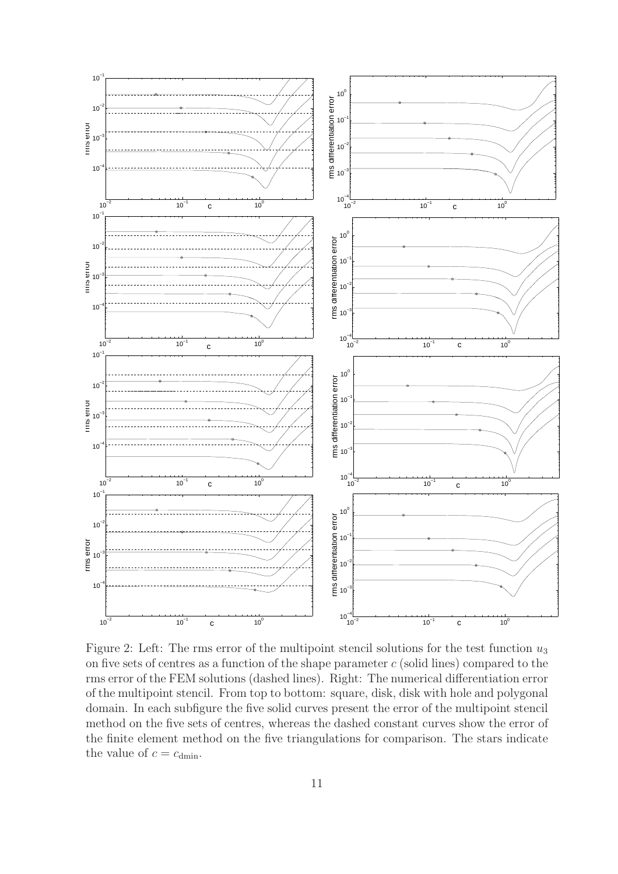

Figure 2: Left: The rms error of the multipoint stencil solutions for the test function  $u_3$ on five sets of centres as a function of the shape parameter  $c$  (solid lines) compared to the rms error of the FEM solutions (dashed lines). Right: The numerical differentiation error of the multipoint stencil. From top to bottom: square, disk, disk with hole and polygonal domain. In each subfigure the five solid curves present the error of the multipoint stencil method on the five sets of centres, whereas the dashed constant curves show the error of the finite element method on the five triangulations for comparison. The stars indicate the value of  $c = c_{\text{dmin}}$ .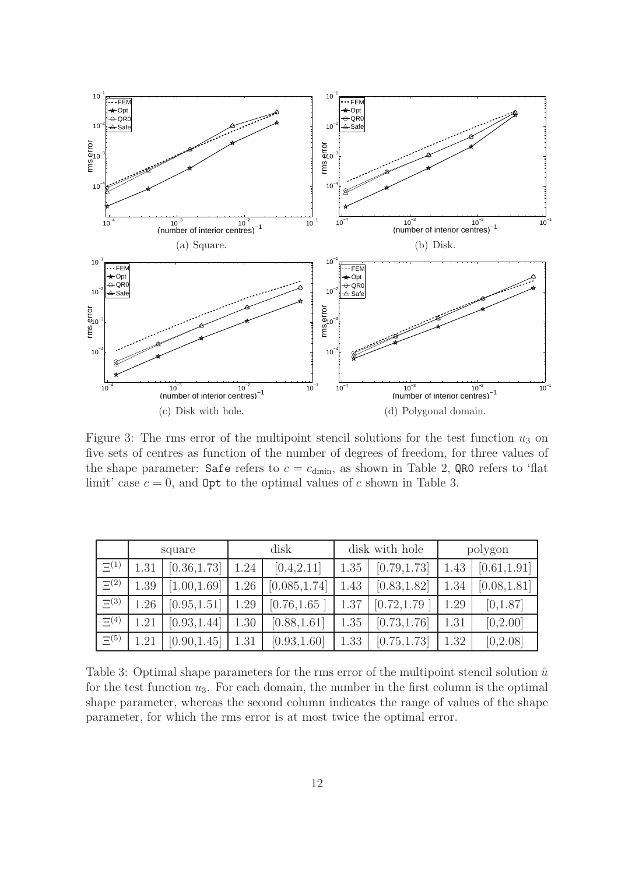

Figure 3: The rms error of the multipoint stencil solutions for the test function  $u_3$  on five sets of centres as function of the number of degrees of freedom, for three values of the shape parameter: Safe refers to  $c = c_{\text{dmin}}$ , as shown in Table 2, QR0 refers to 'flat limit' case  $c = 0$ , and **Opt** to the optimal values of c shown in Table 3.

|             | square |              |      | disk          | disk with hole |              | polygon |              |
|-------------|--------|--------------|------|---------------|----------------|--------------|---------|--------------|
| $\Xi^{(1)}$ | 1.31   | [0.36, 1.73] | 1.24 | [0.4, 2.11]   | 1.35           | [0.79, 1.73] | 1.43    | [0.61, 1.91] |
| $\Xi^{(2)}$ | 1.39   | [1.00, 1.69] | 1.26 | [0.085, 1.74] | 1.43           | [0.83, 1.82] | 1.34    | [0.08, 1.81] |
| $\Xi^{(3)}$ | 1.26   | [0.95, 1.51] | 1.29 | [0.76, 1.65]  | 1.37           | [0.72, 1.79] | 1.29    | [0,1.87]     |
| $\Xi^{(4)}$ | 1.21   | [0.93, 1.44] | 1.30 | [0.88, 1.61]  | 1.35           | [0.73, 1.76] | 1.31    | [0,2.00]     |
| $\Xi^{(5)}$ | 1.21   | [0.90, 1.45] | 1.31 | [0.93, 1.60]  | 1.33           | [0.75, 1.73] | 1.32    | [0,2.08]     |

Table 3: Optimal shape parameters for the rms error of the multipoint stencil solution  $\hat{u}$ for the test function  $u_3$ . For each domain, the number in the first column is the optimal shape parameter, whereas the second column indicates the range of values of the shape parameter, for which the rms error is at most twice the optimal error.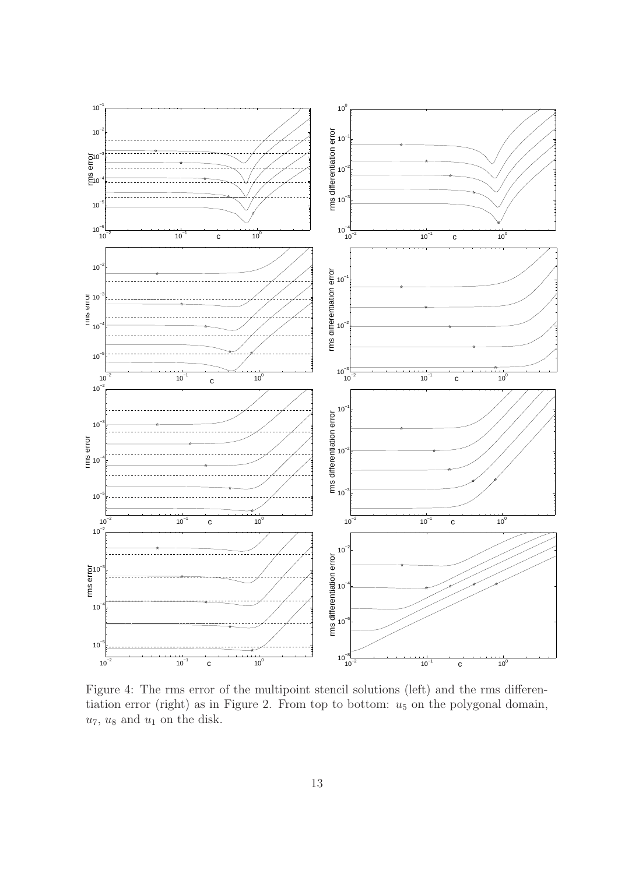

Figure 4: The rms error of the multipoint stencil solutions (left) and the rms differentiation error (right) as in Figure 2. From top to bottom:  $u_5$  on the polygonal domain,  $u_7$ ,  $u_8$  and  $u_1$  on the disk.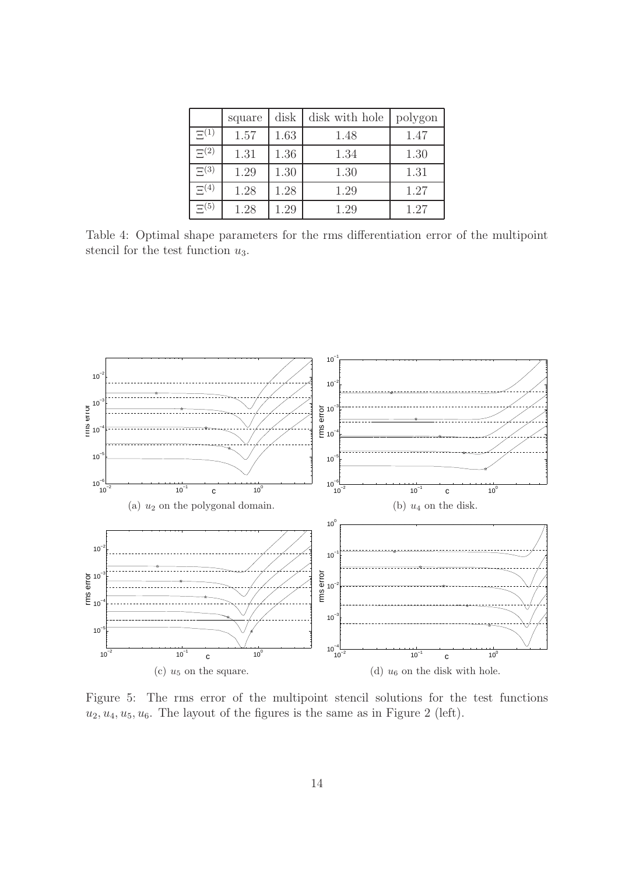|             | square | disk | disk with hole | polygon |
|-------------|--------|------|----------------|---------|
| $\Xi^{(1)}$ | 1.57   | 1.63 | 1.48           | 1.47    |
| $\Xi(2)$    | 1.31   | 1.36 | 1.34           | 1.30    |
| $\Xi^{(3)}$ | 1.29   | 1.30 | 1.30           | 1.31    |
| $\Xi^{(4)}$ | 1.28   | 1.28 | 1.29           | 1.27    |
| $\Xi(5)$    | 1.28   | 1.29 | 1.29           | 1.27    |

Table 4: Optimal shape parameters for the rms differentiation error of the multipoint stencil for the test function  $u_3$ .



Figure 5: The rms error of the multipoint stencil solutions for the test functions  $u_2, u_4, u_5, u_6$ . The layout of the figures is the same as in Figure 2 (left).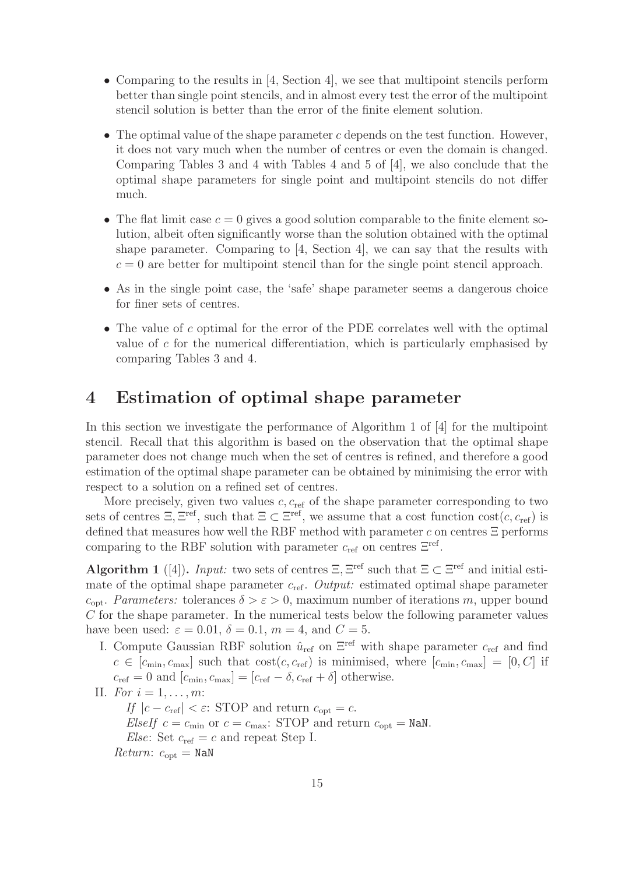- Comparing to the results in [4, Section 4], we see that multipoint stencils perform better than single point stencils, and in almost every test the error of the multipoint stencil solution is better than the error of the finite element solution.
- The optimal value of the shape parameter  $c$  depends on the test function. However, it does not vary much when the number of centres or even the domain is changed. Comparing Tables 3 and 4 with Tables 4 and 5 of [4], we also conclude that the optimal shape parameters for single point and multipoint stencils do not differ much.
- The flat limit case  $c = 0$  gives a good solution comparable to the finite element solution, albeit often significantly worse than the solution obtained with the optimal shape parameter. Comparing to  $[4, \text{Section 4}]$ , we can say that the results with  $c = 0$  are better for multipoint stencil than for the single point stencil approach.
- As in the single point case, the 'safe' shape parameter seems a dangerous choice for finer sets of centres.
- The value of c optimal for the error of the PDE correlates well with the optimal value of c for the numerical differentiation, which is particularly emphasised by comparing Tables 3 and 4.

# 4 Estimation of optimal shape parameter

In this section we investigate the performance of Algorithm 1 of [4] for the multipoint stencil. Recall that this algorithm is based on the observation that the optimal shape parameter does not change much when the set of centres is refined, and therefore a good estimation of the optimal shape parameter can be obtained by minimising the error with respect to a solution on a refined set of centres.

More precisely, given two values  $c, c_{ref}$  of the shape parameter corresponding to two sets of centres  $\Xi$ ,  $\Xi^{\text{ref}}$ , such that  $\Xi \subset \Xi^{\text{ref}}$ , we assume that a cost function  $\text{cost}(c, c_{\text{ref}})$  is defined that measures how well the RBF method with parameter c on centres  $\Xi$  performs comparing to the RBF solution with parameter  $c_{\text{ref}}$  on centres  $\Xi^{\text{ref}}$ .

Algorithm 1 ([4]). *Input:* two sets of centres  $\Xi$ ,  $\Xi^{\text{ref}}$  such that  $\Xi \subset \Xi^{\text{ref}}$  and initial estimate of the optimal shape parameter  $c_{ref}$ . *Output:* estimated optimal shape parameter  $c_{\text{opt}}$ . *Parameters:* tolerances  $\delta > \varepsilon > 0$ , maximum number of iterations m, upper bound C for the shape parameter. In the numerical tests below the following parameter values have been used:  $\varepsilon = 0.01$ ,  $\delta = 0.1$ ,  $m = 4$ , and  $C = 5$ .

- I. Compute Gaussian RBF solution  $\hat{u}_{ref}$  on  $\Xi^{\text{ref}}$  with shape parameter  $c_{ref}$  and find  $c \in [c_{\min}, c_{\max}]$  such that  $\text{cost}(c, c_{\text{ref}})$  is minimised, where  $[c_{\min}, c_{\max}] = [0, C]$  if  $c_{\text{ref}} = 0$  and  $[c_{\text{min}}, c_{\text{max}}] = [c_{\text{ref}} - \delta, c_{\text{ref}} + \delta]$  otherwise.
- II. *For*  $i = 1, ..., m$ : *If*  $|c - c_{\text{ref}}| < \varepsilon$ : STOP and return  $c_{\text{opt}} = c$ . *ElseIf*  $c = c_{\text{min}}$  or  $c = c_{\text{max}}$ : STOP and return  $c_{\text{opt}} =$  NaN. *Else*: Set  $c_{\text{ref}} = c$  and repeat Step I.  $Return: c_{opt} = \text{NaN}$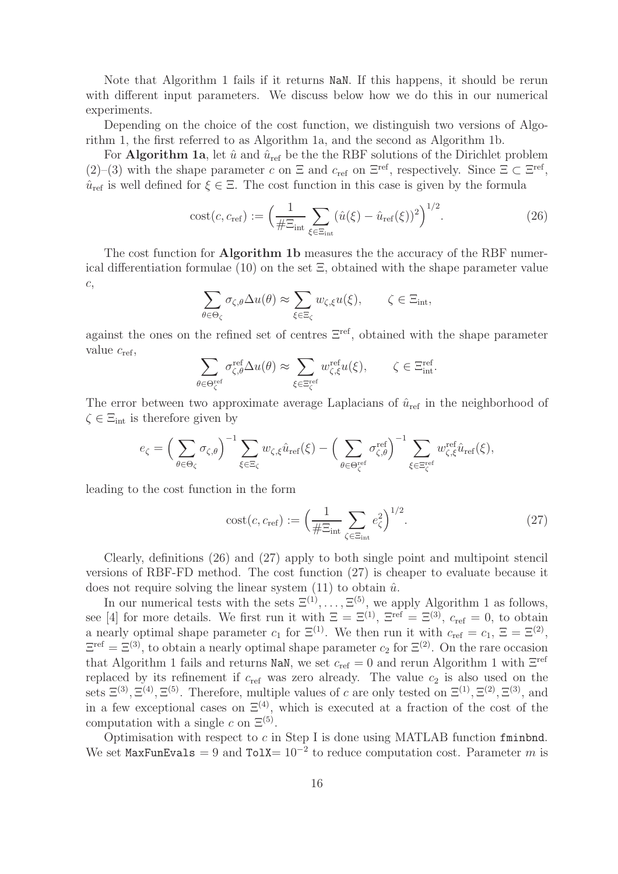Note that Algorithm 1 fails if it returns NaN. If this happens, it should be rerun with different input parameters. We discuss below how we do this in our numerical experiments.

Depending on the choice of the cost function, we distinguish two versions of Algorithm 1, the first referred to as Algorithm 1a, and the second as Algorithm 1b.

For **Algorithm 1a**, let  $\hat{u}$  and  $\hat{u}_{ref}$  be the the RBF solutions of the Dirichlet problem (2)–(3) with the shape parameter c on  $\Xi$  and  $c_{\text{ref}}$  on  $\Xi^{\text{ref}}$ , respectively. Since  $\Xi \subset \Xi^{\text{ref}}$ ,  $\hat{u}_{ref}$  is well defined for  $\xi \in \Xi$ . The cost function in this case is given by the formula

$$
cost(c, c_{\text{ref}}) := \left(\frac{1}{\#\Xi_{\text{int}}}\sum_{\xi \in \Xi_{\text{int}}} (\hat{u}(\xi) - \hat{u}_{\text{ref}}(\xi))^2\right)^{1/2}.
$$
 (26)

The cost function for **Algorithm 1b** measures the the accuracy of the RBF numerical differentiation formulae (10) on the set  $\Xi$ , obtained with the shape parameter value c,

$$
\sum_{\theta \in \Theta_{\zeta}} \sigma_{\zeta,\theta} \Delta u(\theta) \approx \sum_{\xi \in \Xi_{\zeta}} w_{\zeta,\xi} u(\xi), \qquad \zeta \in \Xi_{\text{int}},
$$

against the ones on the refined set of centres Ξref, obtained with the shape parameter value  $c_{\text{ref}}$ ,

$$
\sum_{\theta \in \Theta_{\zeta}^{\text{ref}}} \sigma_{\zeta, \theta}^{\text{ref}} \Delta u(\theta) \approx \sum_{\xi \in \Xi_{\zeta}^{\text{ref}}} w_{\zeta, \xi}^{\text{ref}} u(\xi), \qquad \zeta \in \Xi_{\text{int}}^{\text{ref}}.
$$

The error between two approximate average Laplacians of  $\hat{u}_{ref}$  in the neighborhood of  $\zeta \in \Xi_{\text{int}}$  is therefore given by

$$
e_{\zeta} = \left(\sum_{\theta \in \Theta_{\zeta}} \sigma_{\zeta,\theta}\right)^{-1} \sum_{\xi \in \Xi_{\zeta}} w_{\zeta,\xi} \hat{u}_{\text{ref}}(\xi) - \left(\sum_{\theta \in \Theta_{\zeta}^{\text{ref}}} \sigma_{\zeta,\theta}^{\text{ref}}\right)^{-1} \sum_{\xi \in \Xi_{\zeta}^{\text{ref}}} w_{\zeta,\xi}^{\text{ref}} \hat{u}_{\text{ref}}(\xi),
$$

leading to the cost function in the form

$$
cost(c, c_{\text{ref}}) := \left(\frac{1}{\#\Xi_{\text{int}}} \sum_{\zeta \in \Xi_{\text{int}}} e_{\zeta}^2\right)^{1/2}.
$$
 (27)

Clearly, definitions (26) and (27) apply to both single point and multipoint stencil versions of RBF-FD method. The cost function (27) is cheaper to evaluate because it does not require solving the linear system  $(11)$  to obtain  $\hat{u}$ .

In our numerical tests with the sets  $\Xi^{(1)}, \ldots, \Xi^{(5)}$ , we apply Algorithm 1 as follows, see [4] for more details. We first run it with  $\Xi = \Xi^{(1)}$ ,  $\Xi^{\text{ref}} = \Xi^{(3)}$ ,  $c_{\text{ref}} = 0$ , to obtain a nearly optimal shape parameter  $c_1$  for  $\Xi^{(1)}$ . We then run it with  $c_{\text{ref}} = c_1$ ,  $\Xi = \Xi^{(2)}$ ,  $\Xi^{\text{ref}} = \Xi^{(3)}$ , to obtain a nearly optimal shape parameter  $c_2$  for  $\Xi^{(2)}$ . On the rare occasion that Algorithm 1 fails and returns NaN, we set  $c_{\text{ref}} = 0$  and rerun Algorithm 1 with  $\Xi^{\text{ref}}$ replaced by its refinement if  $c_{ref}$  was zero already. The value  $c_2$  is also used on the sets  $\Xi^{(3)}$ ,  $\Xi^{(4)}$ ,  $\Xi^{(5)}$ . Therefore, multiple values of c are only tested on  $\Xi^{(1)}$ ,  $\Xi^{(2)}$ ,  $\Xi^{(3)}$ , and in a few exceptional cases on  $\Xi^{(4)}$ , which is executed at a fraction of the cost of the computation with a single c on  $\Xi^{(5)}$ .

Optimisation with respect to  $c$  in Step I is done using MATLAB function fminbnd. We set MaxFunEvals = 9 and Tol $X = 10^{-2}$  to reduce computation cost. Parameter m is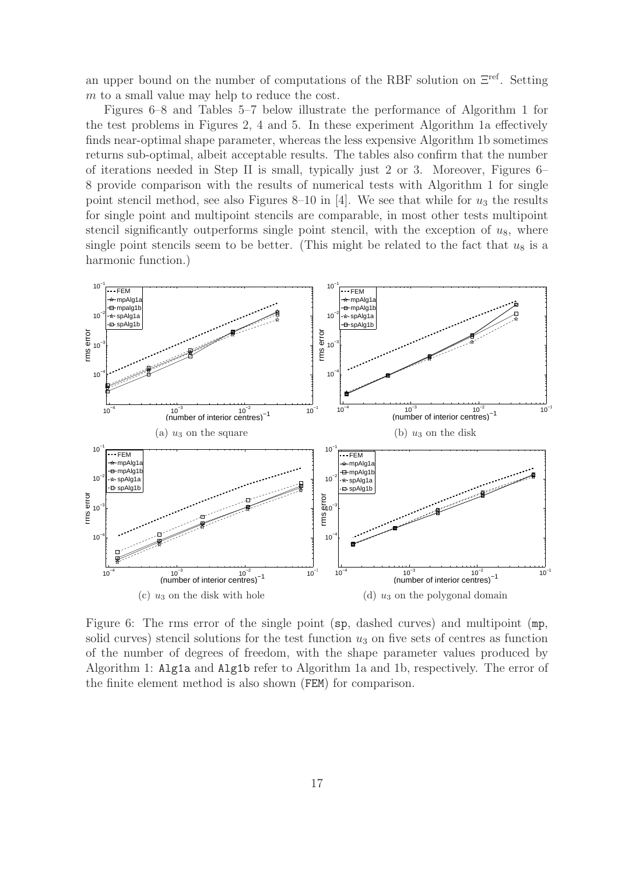an upper bound on the number of computations of the RBF solution on Ξref. Setting m to a small value may help to reduce the cost.

Figures 6–8 and Tables 5–7 below illustrate the performance of Algorithm 1 for the test problems in Figures 2, 4 and 5. In these experiment Algorithm 1a effectively finds near-optimal shape parameter, whereas the less expensive Algorithm 1b sometimes returns sub-optimal, albeit acceptable results. The tables also confirm that the number of iterations needed in Step II is small, typically just 2 or 3. Moreover, Figures 6– 8 provide comparison with the results of numerical tests with Algorithm 1 for single point stencil method, see also Figures 8–10 in [4]. We see that while for  $u_3$  the results for single point and multipoint stencils are comparable, in most other tests multipoint stencil significantly outperforms single point stencil, with the exception of  $u_8$ , where single point stencils seem to be better. (This might be related to the fact that  $u_8$  is a harmonic function.)



Figure 6: The rms error of the single point (sp, dashed curves) and multipoint (mp, solid curves) stencil solutions for the test function  $u_3$  on five sets of centres as function of the number of degrees of freedom, with the shape parameter values produced by Algorithm 1: Alg1a and Alg1b refer to Algorithm 1a and 1b, respectively. The error of the finite element method is also shown (FEM) for comparison.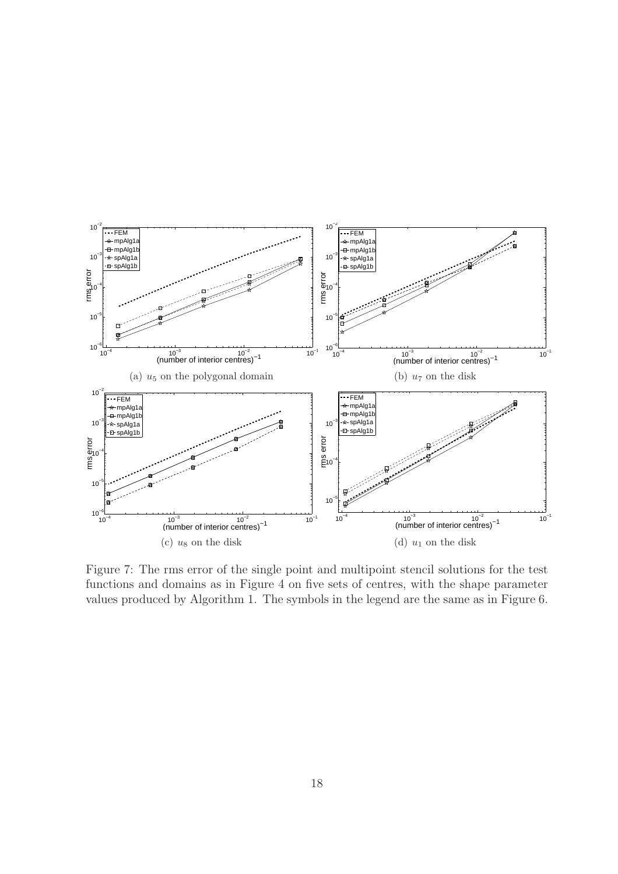

Figure 7: The rms error of the single point and multipoint stencil solutions for the test functions and domains as in Figure 4 on five sets of centres, with the shape parameter values produced by Algorithm 1. The symbols in the legend are the same as in Figure 6.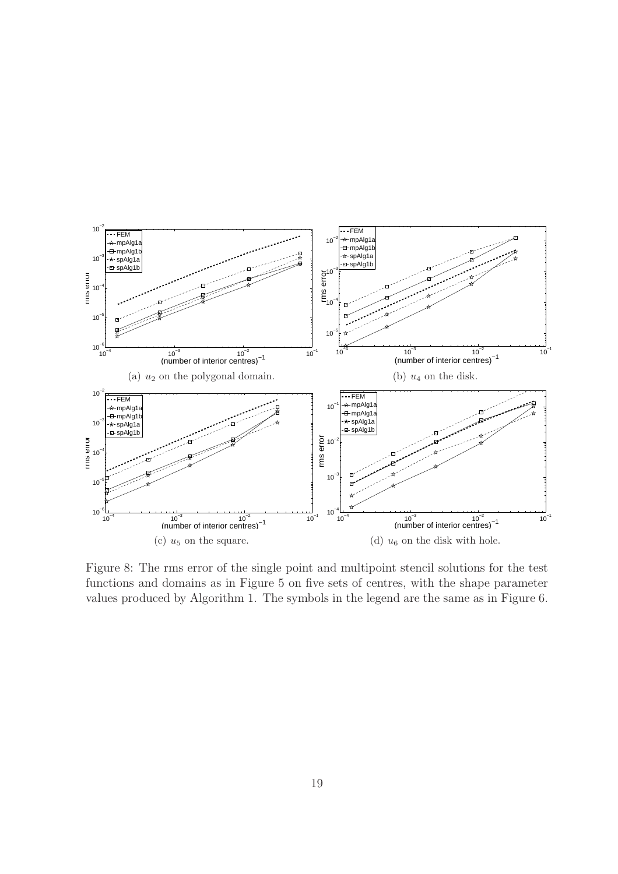

Figure 8: The rms error of the single point and multipoint stencil solutions for the test functions and domains as in Figure 5 on five sets of centres, with the shape parameter values produced by Algorithm 1. The symbols in the legend are the same as in Figure 6.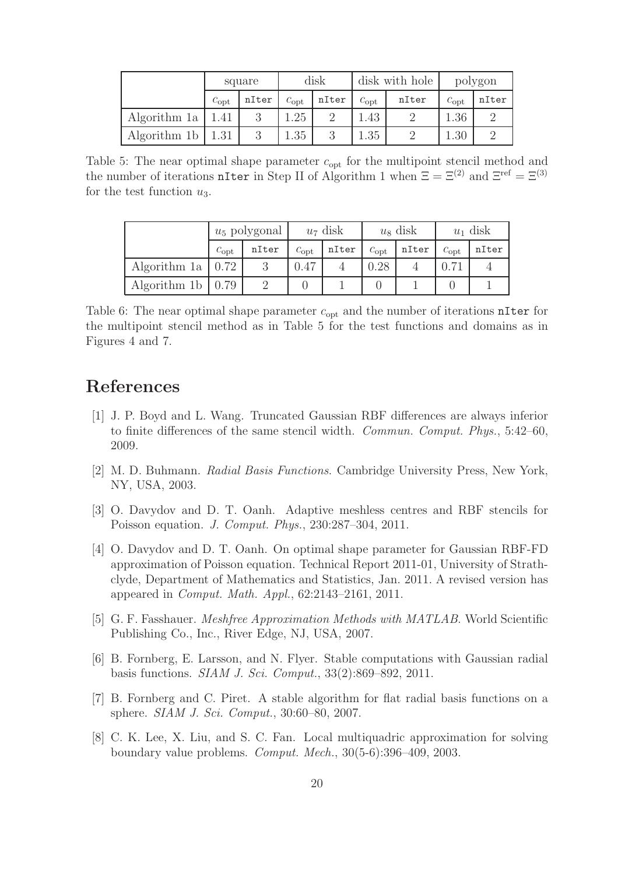|                       | square        |       |               | disk  |               | disk with hole | polygon       |       |
|-----------------------|---------------|-------|---------------|-------|---------------|----------------|---------------|-------|
|                       | $c_{\rm opt}$ | nIter | $c_{\rm opt}$ | nIter | $c_{\rm opt}$ | nIter          | $c_{\rm opt}$ | nIter |
| Algorithm 1a   $1.41$ |               |       | 1.25          |       | 1.43          |                | 1.36          |       |
| Algorithm 1b          | 1.31          |       | 1.35          |       | 1.35          |                | 1.30          |       |

Table 5: The near optimal shape parameter  $c_{opt}$  for the multipoint stencil method and the number of iterations nIter in Step II of Algorithm 1 when  $\Xi = \Xi^{(2)}$  and  $\Xi^{\text{ref}} = \Xi^{(3)}$ for the test function  $u_3$ .

|                           | $u_5$ polygonal |       |               | $u_7$ disk |               | $u_8$ disk | $u_1$ disk    |       |
|---------------------------|-----------------|-------|---------------|------------|---------------|------------|---------------|-------|
|                           | $c_{\rm opt}$   | nIter | $c_{\rm opt}$ | nIter      | $c_{\rm opt}$ | nIter      | $c_{\rm opt}$ | nIter |
| Algorithm 1a   $0.72$     |                 |       | 0.47          |            | 0.28          |            |               |       |
| Algorithm 1b $\vert$ 0.79 |                 |       |               |            |               |            |               |       |

Table 6: The near optimal shape parameter  $c_{\text{opt}}$  and the number of iterations nIter for the multipoint stencil method as in Table 5 for the test functions and domains as in Figures 4 and 7.

# References

- [1] J. P. Boyd and L. Wang. Truncated Gaussian RBF differences are always inferior to finite differences of the same stencil width. *Commun. Comput. Phys.*, 5:42–60, 2009.
- [2] M. D. Buhmann. *Radial Basis Functions*. Cambridge University Press, New York, NY, USA, 2003.
- [3] O. Davydov and D. T. Oanh. Adaptive meshless centres and RBF stencils for Poisson equation. *J. Comput. Phys.*, 230:287–304, 2011.
- [4] O. Davydov and D. T. Oanh. On optimal shape parameter for Gaussian RBF-FD approximation of Poisson equation. Technical Report 2011-01, University of Strathclyde, Department of Mathematics and Statistics, Jan. 2011. A revised version has appeared in *Comput. Math. Appl.*, 62:2143–2161, 2011.
- [5] G. F. Fasshauer. *Meshfree Approximation Methods with MATLAB*. World Scientific Publishing Co., Inc., River Edge, NJ, USA, 2007.
- [6] B. Fornberg, E. Larsson, and N. Flyer. Stable computations with Gaussian radial basis functions. *SIAM J. Sci. Comput.*, 33(2):869–892, 2011.
- [7] B. Fornberg and C. Piret. A stable algorithm for flat radial basis functions on a sphere. *SIAM J. Sci. Comput.*, 30:60–80, 2007.
- [8] C. K. Lee, X. Liu, and S. C. Fan. Local multiquadric approximation for solving boundary value problems. *Comput. Mech.*, 30(5-6):396–409, 2003.